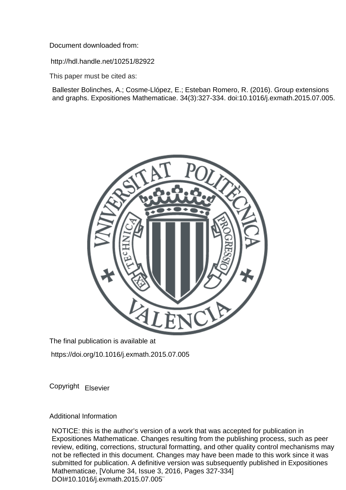Document downloaded from:

http://hdl.handle.net/10251/82922

This paper must be cited as:

Ballester Bolinches, A.; Cosme-Llópez, E.; Esteban Romero, R. (2016). Group extensions and graphs. Expositiones Mathematicae. 34(3):327-334. doi:10.1016/j.exmath.2015.07.005.



The final publication is available at

https://doi.org/10.1016/j.exmath.2015.07.005

Copyright Elsevier

Additional Information

NOTICE: this is the author's version of a work that was accepted for publication in Expositiones Mathematicae. Changes resulting from the publishing process, such as peer review, editing, corrections, structural formatting, and other quality control mechanisms may not be reflected in this document. Changes may have been made to this work since it was submitted for publication. A definitive version was subsequently published in Expositiones Mathematicae, [Volume 34, Issue 3, 2016, Pages 327-334] DOI#10.1016/j.exmath.2015.07.005¨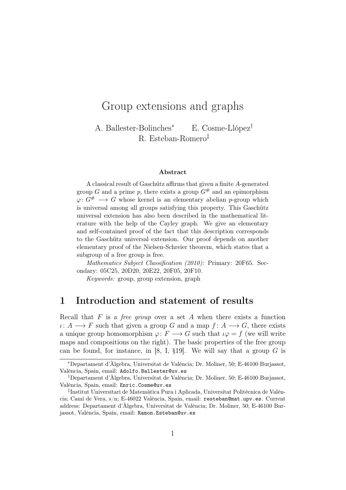# Group extensions and graphs

A. Ballester-Bolinches<sup>∗</sup> E. Cosme-Llópez† R. Esteban-Romero‡

#### Abstract

A classical result of Gaschütz affirms that given a finite A-generated group G and a prime p, there exists a group  $G^{\#}$  and an epimorphism  $\varphi: G^* \longrightarrow G$  whose kernel is an elementary abelian p-group which is universal among all groups satisfying this property. This Gaschütz universal extension has also been described in the mathematical literature with the help of the Cayley graph. We give an elementary and self-contained proof of the fact that this description corresponds to the Gaschütz universal extension. Our proof depends on another elementary proof of the Nielsen-Schreier theorem, which states that a subgroup of a free group is free.

Mathematics Subject Classification (2010): Primary: 20F65. Secondary: 05C25, 20D20, 20E22, 20F05, 20F10.

Keywords: group, group extension, graph

### 1 Introduction and statement of results

Recall that  $F$  is a *free group* over a set  $A$  when there exists a function  $\iota: A \longrightarrow F$  such that given a group G and a map  $f: A \longrightarrow G$ , there exists a unique group homomorphism  $\varphi: F \longrightarrow G$  such that  $\iota \varphi = f$  (we will write maps and compositions on the right). The basic properties of the free group can be found, for instance, in [8, I,  $\S19$ ]. We will say that a group G is

<sup>∗</sup>Departament d'Àlgebra, Universitat de València; Dr. Moliner, 50; E-46100 Burjassot, València, Spain, email: Adolfo.Ballester@uv.es

<sup>†</sup>Departament d'Àlgebra, Universitat de València; Dr. Moliner, 50; E-46100 Burjassot, València, Spain, email: Enric.Cosme@uv.es

<sup>‡</sup> Institut Universitari de Matemàtica Pura i Aplicada, Universitat Politècnica de València; Camí de Vera, s/n; E-46022 València, Spain, email: resteban@mat.upv.es. Current address: Departament d'Àlgebra, Universitat de València; Dr. Moliner, 50; E-46100 Burjassot, València, Spain, email: Ramon.Esteban@uv.es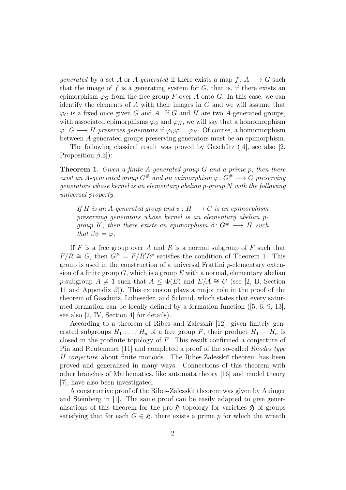generated by a set A or A-generated if there exists a map  $f: A \longrightarrow G$  such that the image of  $f$  is a generating system for  $G$ , that is, if there exists an epimorphism  $\varphi_G$  from the free group F over A onto G. In this case, we can identify the elements of  $A$  with their images in  $G$  and we will assume that  $\varphi_G$  is a fixed once given G and A. If G and H are two A-generated groups, with associated epimorphisms  $\varphi_G$  and  $\varphi_H$ , we will say that a homomorphism  $\varphi: G \longrightarrow H$  preserves generators if  $\varphi_G \varphi = \varphi_H$ . Of course, a homomorphism between A-generated groups preserving generators must be an epimorphism.

The following classical result was proved by Gaschütz ([4], see also [2, Proposition  $\beta$ .3]):

**Theorem 1.** Given a finite A-generated group  $G$  and a prime p, then there exist an A-generated group  $G^{\#}$  and an epimorphism  $\varphi: G^{\#} \longrightarrow G$  preserving generators whose kernel is an elementary abelian p-group N with the following universal property:

If H is an A-generated group and  $\psi: H \longrightarrow G$  is an epimorphism preserving generators whose kernel is an elementary abelian pgroup K, then there exists an epimorphism  $\beta \colon G^* \longrightarrow H$  such that  $\beta \psi = \varphi$ .

If F is a free group over A and R is a normal subgroup of F such that  $F/R \cong G$ , then  $G^{\#} = F/R'R^p$  satisfies the condition of Theorem 1. This group is used in the construction of a universal Frattini p-elementary extension of a finite group  $G$ , which is a group  $E$  with a normal, elementary abelian p-subgroup  $A \neq 1$  such that  $A \leq \Phi(E)$  and  $E/A \cong G$  (see [2, B, Section 11 and Appendix  $\beta$ ). This extension plays a major role in the proof of the theorem of Gaschütz, Lubeseder, and Schmid, which states that every saturated formation can be locally defined by a formation function ([5, 6, 9, 13], see also [2, IV, Section 4] for details).

According to a theorem of Ribes and Zalesskiĭ [12], given finitely generated subgroups  $H_1, \ldots, H_n$  of a free group F, their product  $H_1 \cdots H_n$  is closed in the profinite topology of F. This result confirmed a conjecture of Pin and Reutenauer [11] and completed a proof of the so-called Rhodes type II conjecture about finite monoids. The Ribes-Zalesski theorem has been proved and generalised in many ways. Connections of this theorem with other branches of Mathematics, like automata theory [16] and model theory [7], have also been investigated.

A constructive proof of the Ribes-Zalesskii theorem was given by Auinger and Steinberg in [1]. The same proof can be easily adapted to give generalisations of this theorem for the pro- $\mathfrak{H}$  topology for varieties  $\mathfrak{H}$  of groups satisfying that for each  $G \in \mathfrak{H}$ , there exists a prime p for which the wreath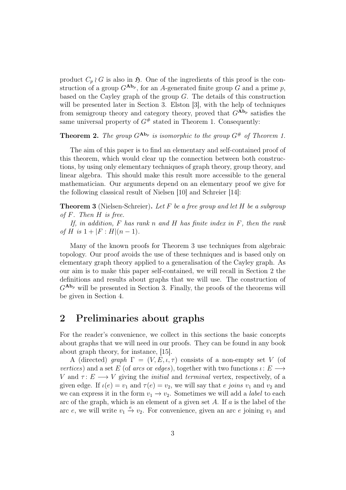product  $C_p \wr G$  is also in  $\mathfrak H$ . One of the ingredients of this proof is the construction of a group  $G^{\mathbf{Ab}_p}$ , for an A-generated finite group G and a prime p, based on the Cayley graph of the group G. The details of this construction will be presented later in Section 3. Elston [3], with the help of techniques from semigroup theory and category theory, proved that  $G^{\mathbf{Ab}_p}$  satisfies the same universal property of  $G^*$  stated in Theorem 1. Consequently:

**Theorem 2.** The group  $G^{\text{Ab}_p}$  is isomorphic to the group  $G^{\#}$  of Theorem 1.

The aim of this paper is to find an elementary and self-contained proof of this theorem, which would clear up the connection between both constructions, by using only elementary techniques of graph theory, group theory, and linear algebra. This should make this result more accessible to the general mathematician. Our arguments depend on an elementary proof we give for the following classical result of Nielsen [10] and Schreier [14]:

**Theorem 3** (Nielsen-Schreier). Let F be a free group and let H be a subgroup of  $F$ . Then  $H$  is free.

If, in addition,  $F$  has rank n and  $H$  has finite index in  $F$ , then the rank of H is  $1 + |F : H|(n-1)$ .

Many of the known proofs for Theorem 3 use techniques from algebraic topology. Our proof avoids the use of these techniques and is based only on elementary graph theory applied to a generalisation of the Cayley graph. As our aim is to make this paper self-contained, we will recall in Section 2 the definitions and results about graphs that we will use. The construction of  $G^{\mathbf{Ab}_p}$  will be presented in Section 3. Finally, the proofs of the theorems will be given in Section 4.

## 2 Preliminaries about graphs

For the reader's convenience, we collect in this sections the basic concepts about graphs that we will need in our proofs. They can be found in any book about graph theory, for instance, [15].

A (directed) graph  $\Gamma = (V, E, \iota, \tau)$  consists of a non-empty set V (of vertices) and a set E (of arcs or edges), together with two functions  $\iota: E \longrightarrow$ V and  $\tau: E \longrightarrow V$  giving the *initial* and *terminal* vertex, respectively, of a given edge. If  $\iota(e) = v_1$  and  $\tau(e) = v_2$ , we will say that e joins  $v_1$  and  $v_2$  and we can express it in the form  $v_1 \rightarrow v_2$ . Sometimes we will add a *label* to each arc of the graph, which is an element of a given set  $A$ . If  $a$  is the label of the arc e, we will write  $v_1 \stackrel{e}{\rightarrow} v_2$ . For convenience, given an arc e joining  $v_1$  and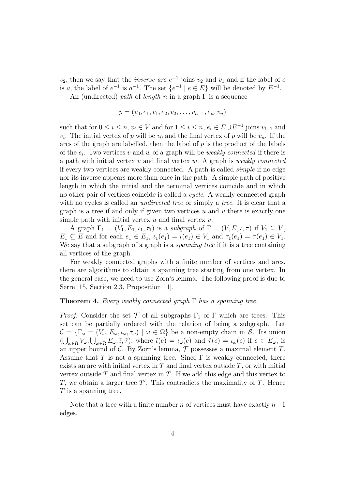$v_2$ , then we say that the *inverse arc*  $e^{-1}$  joins  $v_2$  and  $v_1$  and if the label of  $e$ is a, the label of  $e^{-1}$  is  $a^{-1}$ . The set  $\{e^{-1} \mid e \in E\}$  will be denoted by  $E^{-1}$ . An (undirected) path of length n in a graph  $\Gamma$  is a sequence

 $p = (v_0, e_1, v_1, e_2, v_2, \ldots, v_{n-1}, e_n, v_n)$ 

such that for  $0 \le i \le n$ ,  $v_i \in V$  and for  $1 \le i \le n$ ,  $e_i \in E \cup E^{-1}$  joins  $v_{i-1}$  and  $v_i$ . The initial vertex of p will be  $v_0$  and the final vertex of p will be  $v_n$ . If the arcs of the graph are labelled, then the label of  $p$  is the product of the labels of the  $e_i$ . Two vertices v and w of a graph will be weakly connected if there is a path with initial vertex  $v$  and final vertex  $w$ . A graph is *weakly connected* if every two vertices are weakly connected. A path is called simple if no edge nor its inverse appears more than once in the path. A simple path of positive length in which the initial and the terminal vertices coincide and in which no other pair of vertices coincide is called a cycle. A weakly connected graph with no cycles is called an *undirected tree* or simply a *tree*. It is clear that a graph is a tree if and only if given two vertices  $u$  and  $v$  there is exactly one simple path with initial vertex  $u$  and final vertex  $v$ .

A graph  $\Gamma_1 = (V_1, E_1, \iota_1, \tau_1)$  is a subgraph of  $\Gamma = (V, E, \iota, \tau)$  if  $V_1 \subseteq V$ ,  $E_1 \subseteq E$  and for each  $e_1 \in E_1$ ,  $\iota_1(e_1) = \iota(e_1) \in V_1$  and  $\tau_1(e_1) = \tau(e_1) \in V_1$ . We say that a subgraph of a graph is a *spanning tree* if it is a tree containing all vertices of the graph.

For weakly connected graphs with a finite number of vertices and arcs, there are algorithms to obtain a spanning tree starting from one vertex. In the general case, we need to use Zorn's lemma. The following proof is due to Serre [15, Section 2.3, Proposition 11].

#### **Theorem 4.** Every weakly connected graph  $\Gamma$  has a spanning tree.

*Proof.* Consider the set  $\mathcal T$  of all subgraphs  $\Gamma_1$  of  $\Gamma$  which are trees. This set can be partially ordered with the relation of being a subgraph. Let  $\mathcal{C} = \{\Gamma_{\omega} = (V_{\omega}, E_{\omega}, \iota_{\omega}, \tau_{\omega}) \mid \omega \in \Omega\}$  be a non-empty chain in S. Its union  $(\bigcup_{\omega \in \Omega} V_{\omega}, \bigcup_{\omega \in \Omega} E_{\omega}, \tilde{\iota}, \tilde{\tau}),$  where  $\tilde{\iota}(e) = \iota_{\omega}(e)$  and  $\tilde{\tau}(e) = \iota_{\omega}(e)$  if  $e \in E_{\omega}$ , is an upper bound of  $C$ . By Zorn's lemma,  $T$  possesses a maximal element  $T$ . Assume that T is not a spanning tree. Since  $\Gamma$  is weakly connected, there exists an arc with initial vertex in  $T$  and final vertex outside  $T$ , or with initial vertex outside  $T$  and final vertex in  $T$ . If we add this edge and this vertex to  $T$ , we obtain a larger tree  $T'$ . This contradicts the maximality of  $T$ . Hence  $T$  is a spanning tree.  $\Box$ 

Note that a tree with a finite number n of vertices must have exactly  $n-1$ edges.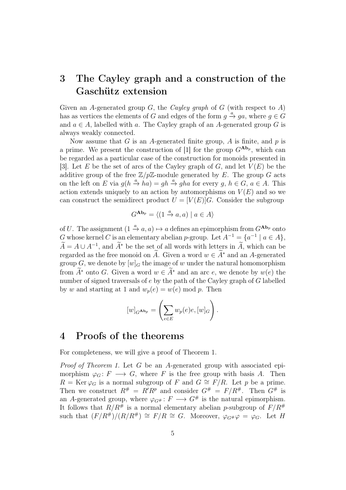# 3 The Cayley graph and a construction of the Gaschütz extension

Given an A-generated group  $G$ , the *Cayley graph* of  $G$  (with respect to  $A$ ) has as vertices the elements of G and edges of the form  $g \stackrel{a}{\rightarrow} ga$ , where  $g \in G$ and  $a \in A$ , labelled with a. The Cayley graph of an A-generated group G is always weakly connected.

Now assume that  $G$  is an A-generated finite group,  $A$  is finite, and  $p$  is a prime. We present the construction of [1] for the group  $G^{\mathbf{Ab}_p}$ , which can be regarded as a particular case of the construction for monoids presented in [3]. Let E be the set of arcs of the Cayley graph of G, and let  $V(E)$  be the additive group of the free  $\mathbb{Z}/p\mathbb{Z}$ -module generated by E. The group G acts on the left on E via  $g(h \stackrel{a}{\rightarrow} ha) = gh \stackrel{a}{\rightarrow} gha$  for every  $g, h \in G, a \in A$ . This action extends uniquely to an action by automorphisms on  $V(E)$  and so we can construct the semidirect product  $U = [V(E)]G$ . Consider the subgroup

$$
G^{\mathbf{Ab}_p} = \langle (1 \xrightarrow{a} a, a) \mid a \in A \rangle
$$

of U. The assignment  $(1 \stackrel{a}{\rightarrow} a, a) \mapsto a$  defines an epimorphism from  $G^{\mathbf{Ab}_p}$  onto G whose kernel C is an elementary abelian p-group. Let  $A^{-1} = \{a^{-1} \mid a \in A\},\$  $\widetilde{A} = A \cup A^{-1}$ , and  $\widetilde{A}^*$  be the set of all words with letters in  $\widetilde{A}$ , which can be regarded as the free monoid on  $\widetilde{A}$ . Given a word  $w \in \widetilde{A}^*$  and an A-generated group G, we denote by  $[w]_G$  the image of w under the natural homomorphism from  $\widetilde{A}^*$  onto G. Given a word  $w \in \widetilde{A}^*$  and an arc e, we denote by  $w(e)$  the number of signed traversals of e by the path of the Cayley graph of G labelled by w and starting at 1 and  $w_p(e) = w(e) \bmod p$ . Then

$$
[w]_{G^{\mathbf{Ab}_p}} = \left(\sum_{e \in E} w_p(e)e, [w]_G\right).
$$

### 4 Proofs of the theorems

For completeness, we will give a proof of Theorem 1.

Proof of Theorem 1. Let G be an A-generated group with associated epimorphism  $\varphi_G : F \longrightarrow G$ , where F is the free group with basis A. Then  $R = \text{Ker }\varphi_G$  is a normal subgroup of F and  $G \cong F/R$ . Let p be a prime. Then we construct  $R^{\#} = R'R^p$  and consider  $G^{\#} = F/R^{\#}$ . Then  $G^{\#}$  is an A-generated group, where  $\varphi_{G^{\#}}: F \longrightarrow G^{\#}$  is the natural epimorphism. It follows that  $R/R^{\#}$  is a normal elementary abelian p-subgroup of  $F/R^{\#}$ such that  $(F/R^{\#})/(R/R^{\#}) \cong F/R \cong G$ . Moreover,  $\varphi_{G^{\#}}\varphi = \varphi_{G}$ . Let H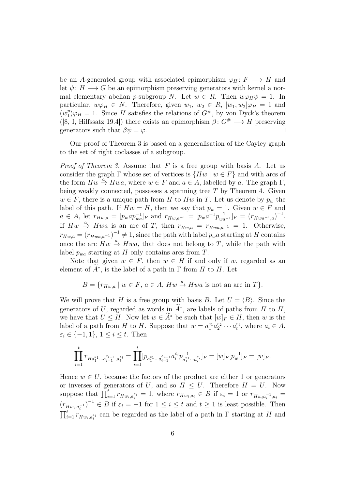be an A-generated group with associated epimorphism  $\varphi_H: F \longrightarrow H$  and let  $\psi: H \longrightarrow G$  be an epimorphism preserving generators with kernel a normal elementary abelian p-subgroup N. Let  $w \in R$ . Then  $w\varphi_H\psi = 1$ . In particular,  $w\varphi_H \in N$ . Therefore, given  $w_1, w_2 \in R$ ,  $[w_1, w_2] \varphi_H = 1$  and  $(w_1^p$  $_1^p$  $\varphi_H = 1$ . Since H satisfies the relations of  $G^{\#}$ , by von Dyck's theorem ([8, I, Hilfssatz 19.4]) there exists an epimorphism  $\beta: G^* \longrightarrow H$  preserving generators such that  $\beta \psi = \varphi$ .  $\Box$ 

Our proof of Theorem 3 is based on a generalisation of the Cayley graph to the set of right coclasses of a subgroup.

*Proof of Theorem 3.* Assume that  $F$  is a free group with basis  $A$ . Let us consider the graph  $\Gamma$  whose set of vertices is  $\{Hw \mid w \in F\}$  and with arcs of the form  $Hw \stackrel{a}{\rightarrow} Hwa$ , where  $w \in F$  and  $a \in A$ , labelled by a. The graph  $\Gamma$ , being weakly connected, possesses a spanning tree  $T$  by Theorem 4. Given  $w \in F$ , there is a unique path from H to Hw in T. Let us denote by  $p_w$  the label of this path. If  $Hw = H$ , then we say that  $p_w = 1$ . Given  $w \in F$  and  $a \in A$ , let  $r_{Hw,a} = [p_w a p_{wa}^{-1}]_F$  and  $r_{Hw,a^{-1}} = [p_w a^{-1} p_{wa^{-1}}^{-1}]_F = (r_{Hwa^{-1},a})^{-1}$ . If  $Hw \stackrel{a}{\rightarrow} Hwa$  is an arc of T, then  $r_{Hw,a} = r_{Hwa,a^{-1}} = 1$ . Otherwise,  $r_{H_{w,a}} = (r_{H_{w,a,a^{-1}}})^{-1} \neq 1$ , since the path with label  $p_w a$  starting at H contains once the arc  $Hw \stackrel{a}{\rightarrow} Hwa$ , that does not belong to T, while the path with label  $p_{wa}$  starting at H only contains arcs from T.

Note that given  $w \in F$ , then  $w \in H$  if and only if w, regarded as an element of  $\tilde{A}^*$ , is the label of a path in  $\Gamma$  from  $H$  to  $H$ . Let

$$
B = \{r_{Hw,a} \mid w \in F, a \in A, Hw \stackrel{a}{\to} Hwa \text{ is not an arc in } T\}.
$$

We will prove that H is a free group with basis B. Let  $U = \langle B \rangle$ . Since the generators of U, regarded as words in  $\widetilde{A}^*$ , are labels of paths from H to H, we have that  $U \leq H$ . Now let  $w \in \widetilde{A}^*$  be such that  $[w]_F \in H$ , then w is the label of a path from H to H. Suppose that  $w = a_1^{\varepsilon_1} a_2^{\varepsilon_2} \cdots a_t^{\varepsilon_t}$ , where  $a_i \in A$ ,  $\varepsilon_i \in \{-1, 1\}, 1 \leq i \leq t$ . Then

$$
\prod_{i=1}^tr_{Ha_1^{\varepsilon_1}\cdots a_{i-1}^{\varepsilon_{i-1}},a_i^{\varepsilon_i}}=\prod_{i=1}^t[p_{a_1^{\varepsilon_1}\cdots a_{i-1}^{\varepsilon_{i-1}}}a_i^{\varepsilon_i}p_{a_1^{\varepsilon_1}\cdots a_i^{\varepsilon_i}}^{-1}]_F=[w]_F[p_w^{-1}]_F=[w]_F.
$$

Hence  $w \in U$ , because the factors of the product are either 1 or generators or inverses of generators of U, and so  $H \leq U$ . Therefore  $H = U$ . Now suppose that  $\prod_{i=1}^t r_{Hw_i,a_i^{\varepsilon_i}} = 1$ , where  $r_{Hw_i,a_i} \in B$  if  $\varepsilon_i = 1$  or  $r_{Hw_i,a_i^{-1},a_i} =$  $(r_{H_{w_i,a_i^{-1}}})^{-1} \in B$  if  $\varepsilon_i = -1$  for  $1 \leq i \leq t$  and  $t \geq 1$  is least possible. Then  $\prod_{i=1}^t r_{Hw_i, a_i^{\varepsilon_i}}$  can be regarded as the label of a path in  $\Gamma$  starting at H and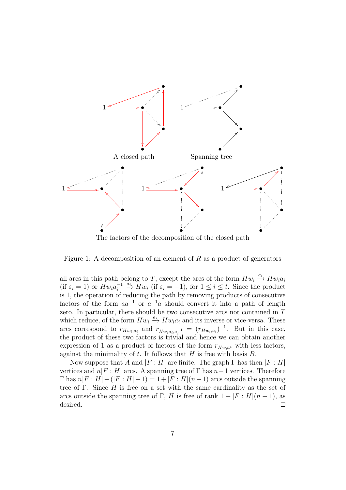

Figure 1: A decomposition of an element of  $R$  as a product of generators

all arcs in this path belong to T, except the arcs of the form  $Hw_i \stackrel{a_i}{\longrightarrow} Hw_ia_i$ (if  $\varepsilon_i = 1$ ) or  $Hw_i a_i^{-1}$  $\sum_{i=1}^{i=1} \xrightarrow{a_i} Hw_i$  (if  $\varepsilon_i = -1$ ), for  $1 \leq i \leq t$ . Since the product is 1, the operation of reducing the path by removing products of consecutive factors of the form  $aa^{-1}$  or  $a^{-1}a$  should convert it into a path of length zero. In particular, there should be two consecutive arcs not contained in T which reduce, of the form  $Hw_i \xrightarrow{a_i} Hw_i a_i$  and its inverse or vice-versa. These arcs correspond to  $r_{Hw_i, a_i}$  and  $r_{Hw_i, a_i, a_i^{-1}} = (r_{Hw_i, a_i})^{-1}$ . But in this case, the product of these two factors is trivial and hence we can obtain another expression of 1 as a product of factors of the form  $r_{Hw,a^{\varepsilon}}$  with less factors, against the minimality of  $t$ . It follows that  $H$  is free with basis  $B$ .

Now suppose that A and  $|F : H|$  are finite. The graph  $\Gamma$  has then  $|F : H|$ vertices and  $n|F : H|$  arcs. A spanning tree of  $\Gamma$  has  $n-1$  vertices. Therefore  $\Gamma$  has  $n|F : H| - (|F : H| - 1) = 1 + |F : H|(n-1)$  arcs outside the spanning tree of Γ. Since  $H$  is free on a set with the same cardinality as the set of arcs outside the spanning tree of Γ, H is free of rank  $1 + |F : H|(n-1)$ , as desired.  $\Box$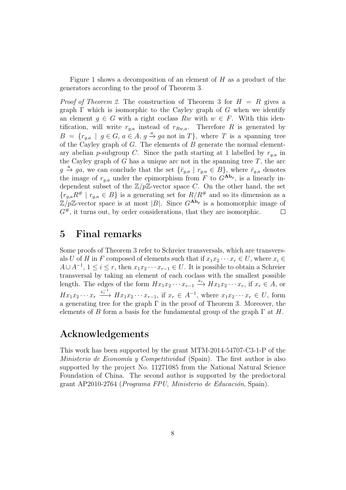Figure 1 shows a decomposition of an element of H as a product of the generators according to the proof of Theorem 3.

*Proof of Theorem 2.* The construction of Theorem 3 for  $H = R$  gives a graph  $\Gamma$  which is isomorphic to the Cayley graph of G when we identify an element  $q \in G$  with a right coclass Rw with  $w \in F$ . With this identification, will write  $r_{q,a}$  instead of  $r_{Rw,a}$ . Therefore R is generated by  $B = \{r_{g,a} \mid g \in G, a \in A, g \stackrel{a}{\rightarrow} ga \text{ not in } T\}, \text{ where } T \text{ is a spanning tree}$ of the Cayley graph of G. The elements of  $B$  generate the normal elementary abelian p-subgroup C. Since the path starting at 1 labelled by  $r_{q,a}$  in the Cayley graph of  $G$  has a unique arc not in the spanning tree  $T$ , the arc  $g \stackrel{a}{\rightarrow} ga$ , we can conclude that the set  $\{\bar{r}_{g,a} \mid r_{g,a} \in B\}$ , where  $\bar{r}_{g,a}$  denotes the image of  $r_{g,a}$  under the epimorphism from F to  $G^{\mathbf{Ab}_p}$ , is a linearly independent subset of the  $\mathbb{Z}/p\mathbb{Z}$ -vector space C. On the other hand, the set  ${r_{g,a}R^{\#} \mid r_{g,a} \in B}$  is a generating set for  $R/R^{\#}$  and so its dimension as a  $\mathbb{Z}/p\mathbb{Z}$ -vector space is at most |B|. Since  $G^{\mathbf{Ab}_p}$  is a homomorphic image of  $G^{\#}$ , it turns out, by order considerations, that they are isomorphic.  $\Box$ 

## 5 Final remarks

Some proofs of Theorem 3 refer to Schreier transversals, which are transversals U of H in F composed of elements such that if  $x_1x_2 \cdots x_r \in U$ , where  $x_i \in$  $A \cup A^{-1}$ ,  $1 \leq i \leq r$ , then  $x_1 x_2 \cdots x_{r-1} \in U$ . It is possible to obtain a Schreier transversal by taking an element of each coclass with the smallest possible length. The edges of the form  $Hx_1x_2 \cdots x_{r-1} \stackrel{x_r}{\longrightarrow} Hx_1x_2 \cdots x_r$ , if  $x_r \in A$ , or  $Hx_1x_2\cdots x_r \xrightarrow{x_r^{-1}} Hx_1x_2\cdots x_{r-1}$ , if  $x_r \in A^{-1}$ , where  $x_1x_2\cdots x_r \in U$ , form a generating tree for the graph  $\Gamma$  in the proof of Theorem 3. Moreover, the elements of B form a basis for the fundamental group of the graph  $\Gamma$  at H.

## Acknowledgements

This work has been supported by the grant MTM-2014-54707-C3-1-P of the Ministerio de Economía y Competitividad (Spain). The first author is also supported by the project No. 11271085 from the National Natural Science Foundation of China. The second author is supported by the predoctoral grant AP2010-2764 (Programa FPU, Ministerio de Educación, Spain).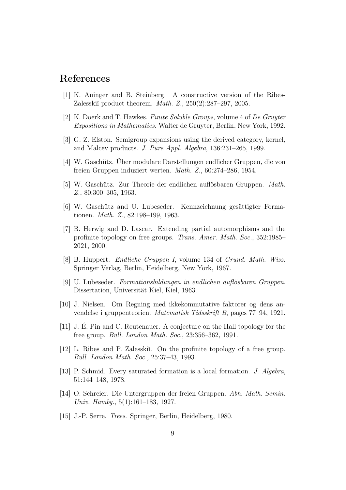## References

- [1] K. Auinger and B. Steinberg. A constructive version of the Ribes-Zalesskiĭ product theorem. *Math.*  $Z$ .,  $250(2):287-297$ ,  $2005$ .
- [2] K. Doerk and T. Hawkes. Finite Soluble Groups, volume 4 of De Gruyter Expositions in Mathematics. Walter de Gruyter, Berlin, New York, 1992.
- [3] G. Z. Elston. Semigroup expansions using the derived category, kernel, and Malcev products. J. Pure Appl. Algebra, 136:231–265, 1999.
- [4] W. Gaschütz. Über modulare Darstellungen endlicher Gruppen, die von freien Gruppen induziert werten. Math. Z., 60:274–286, 1954.
- [5] W. Gaschütz. Zur Theorie der endlichen auflösbaren Gruppen. Math. Z., 80:300–305, 1963.
- [6] W. Gaschütz and U. Lubeseder. Kennzeichnung gesättigter Formationen. Math. Z., 82:198–199, 1963.
- [7] B. Herwig and D. Lascar. Extending partial automorphisms and the profinite topology on free groups. Trans. Amer. Math. Soc., 352:1985– 2021, 2000.
- [8] B. Huppert. Endliche Gruppen I, volume 134 of Grund. Math. Wiss. Springer Verlag, Berlin, Heidelberg, New York, 1967.
- [9] U. Lubeseder. Formationsbildungen in endlichen auflösbaren Gruppen. Dissertation, Universität Kiel, Kiel, 1963.
- [10] J. Nielsen. Om Regning med ikkekommutative faktorer og dens anvendelse i gruppenteorien. Matematisk Tidsskrift B, pages 77–94, 1921.
- [11] J.-É. Pin and C. Reutenauer. A conjecture on the Hall topology for the free group. Bull. London Math. Soc., 23:356–362, 1991.
- [12] L. Ribes and P. Zalesskiı̆. On the profinite topology of a free group. Bull. London Math. Soc., 25:37–43, 1993.
- [13] P. Schmid. Every saturated formation is a local formation. J. Algebra, 51:144–148, 1978.
- [14] O. Schreier. Die Untergruppen der freien Gruppen. Abh. Math. Semin. Univ. Hambg., 5(1):161–183, 1927.
- [15] J.-P. Serre. Trees. Springer, Berlin, Heidelberg, 1980.